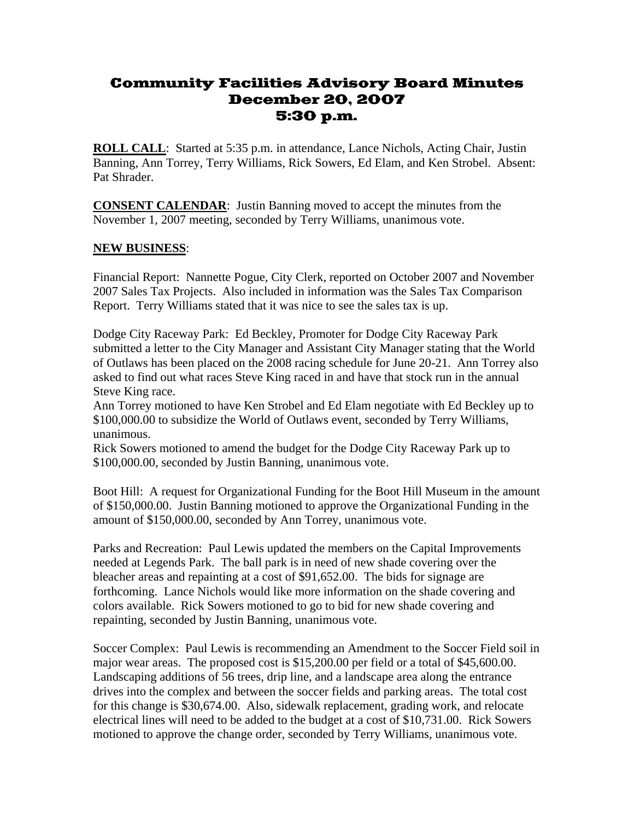## Community Facilities Advisory Board Minutes December 20, 2007 5:30 p.m.

**ROLL CALL**: Started at 5:35 p.m. in attendance, Lance Nichols, Acting Chair, Justin Banning, Ann Torrey, Terry Williams, Rick Sowers, Ed Elam, and Ken Strobel. Absent: Pat Shrader.

**CONSENT CALENDAR**: Justin Banning moved to accept the minutes from the November 1, 2007 meeting, seconded by Terry Williams, unanimous vote.

## **NEW BUSINESS**:

Financial Report: Nannette Pogue, City Clerk, reported on October 2007 and November 2007 Sales Tax Projects. Also included in information was the Sales Tax Comparison Report. Terry Williams stated that it was nice to see the sales tax is up.

Dodge City Raceway Park: Ed Beckley, Promoter for Dodge City Raceway Park submitted a letter to the City Manager and Assistant City Manager stating that the World of Outlaws has been placed on the 2008 racing schedule for June 20-21. Ann Torrey also asked to find out what races Steve King raced in and have that stock run in the annual Steve King race.

Ann Torrey motioned to have Ken Strobel and Ed Elam negotiate with Ed Beckley up to \$100,000.00 to subsidize the World of Outlaws event, seconded by Terry Williams, unanimous.

Rick Sowers motioned to amend the budget for the Dodge City Raceway Park up to \$100,000.00, seconded by Justin Banning, unanimous vote.

Boot Hill: A request for Organizational Funding for the Boot Hill Museum in the amount of \$150,000.00. Justin Banning motioned to approve the Organizational Funding in the amount of \$150,000.00, seconded by Ann Torrey, unanimous vote.

Parks and Recreation: Paul Lewis updated the members on the Capital Improvements needed at Legends Park. The ball park is in need of new shade covering over the bleacher areas and repainting at a cost of \$91,652.00. The bids for signage are forthcoming. Lance Nichols would like more information on the shade covering and colors available. Rick Sowers motioned to go to bid for new shade covering and repainting, seconded by Justin Banning, unanimous vote.

Soccer Complex: Paul Lewis is recommending an Amendment to the Soccer Field soil in major wear areas. The proposed cost is \$15,200.00 per field or a total of \$45,600.00. Landscaping additions of 56 trees, drip line, and a landscape area along the entrance drives into the complex and between the soccer fields and parking areas. The total cost for this change is \$30,674.00. Also, sidewalk replacement, grading work, and relocate electrical lines will need to be added to the budget at a cost of \$10,731.00. Rick Sowers motioned to approve the change order, seconded by Terry Williams, unanimous vote.